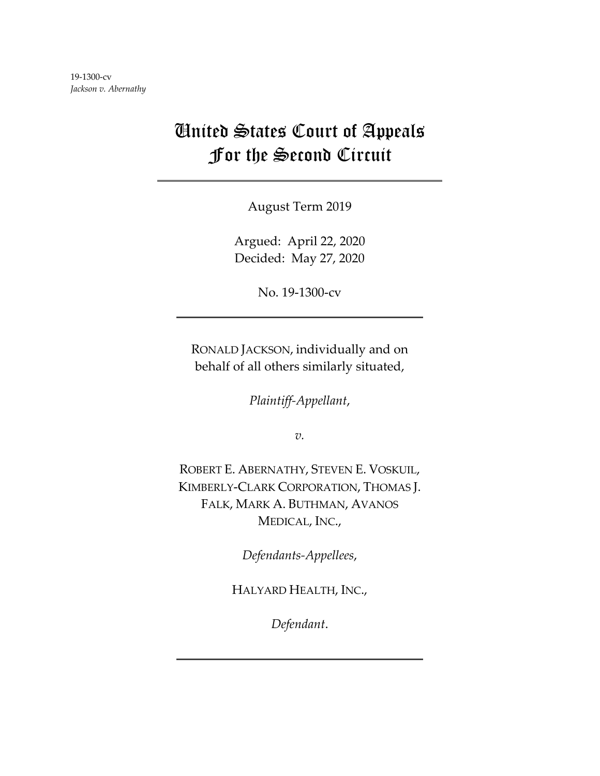## United States Court of Appeals For the Second Circuit

August Term 2019

Argued: April 22, 2020 Decided: May 27, 2020

No. 19-1300-cv

RONALD JACKSON, individually and on behalf of all others similarly situated,

*Plaintiff-Appellant*,

*v.*

ROBERT E. ABERNATHY, STEVEN E. VOSKUIL, KIMBERLY-CLARK CORPORATION, THOMAS J. FALK, MARK A. BUTHMAN, AVANOS MEDICAL, INC.,

*Defendants-Appellees*,

HALYARD HEALTH, INC.,

*Defendant*.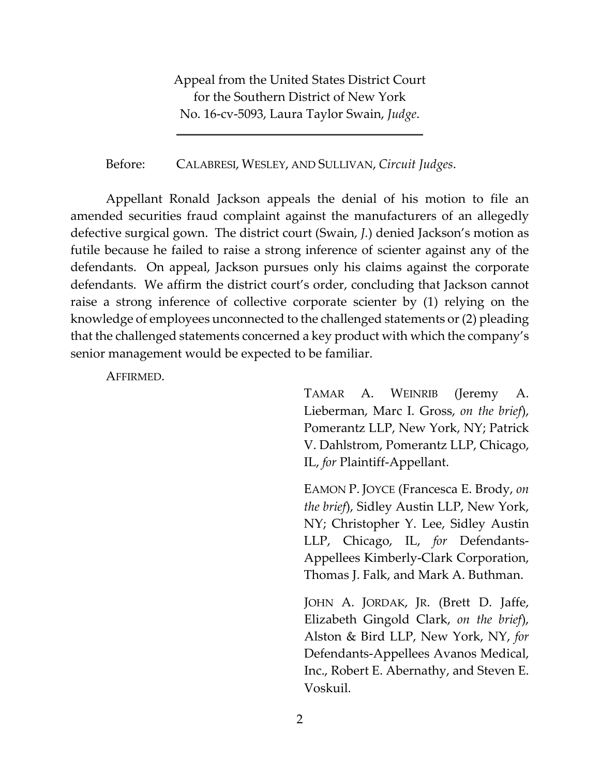Appeal from the United States District Court for the Southern District of New York No. 16-cv-5093, Laura Taylor Swain, *Judge*.

Before: CALABRESI, WESLEY, AND SULLIVAN, *Circuit Judges*.

Appellant Ronald Jackson appeals the denial of his motion to file an amended securities fraud complaint against the manufacturers of an allegedly defective surgical gown. The district court (Swain, *J.*) denied Jackson's motion as futile because he failed to raise a strong inference of scienter against any of the defendants. On appeal, Jackson pursues only his claims against the corporate defendants. We affirm the district court's order, concluding that Jackson cannot raise a strong inference of collective corporate scienter by (1) relying on the knowledge of employees unconnected to the challenged statements or (2) pleading that the challenged statements concerned a key product with which the company's senior management would be expected to be familiar.

AFFIRMED.

TAMAR A. WEINRIB (Jeremy A. Lieberman, Marc I. Gross, *on the brief*), Pomerantz LLP, New York, NY; Patrick V. Dahlstrom, Pomerantz LLP, Chicago, IL, *for* Plaintiff-Appellant.

EAMON P. JOYCE (Francesca E. Brody, *on the brief*), Sidley Austin LLP, New York, NY; Christopher Y. Lee, Sidley Austin LLP, Chicago, IL, *for* Defendants-Appellees Kimberly-Clark Corporation, Thomas J. Falk, and Mark A. Buthman.

JOHN A. JORDAK, JR. (Brett D. Jaffe, Elizabeth Gingold Clark, *on the brief*), Alston & Bird LLP, New York, NY, *for*  Defendants-Appellees Avanos Medical, Inc., Robert E. Abernathy, and Steven E. Voskuil.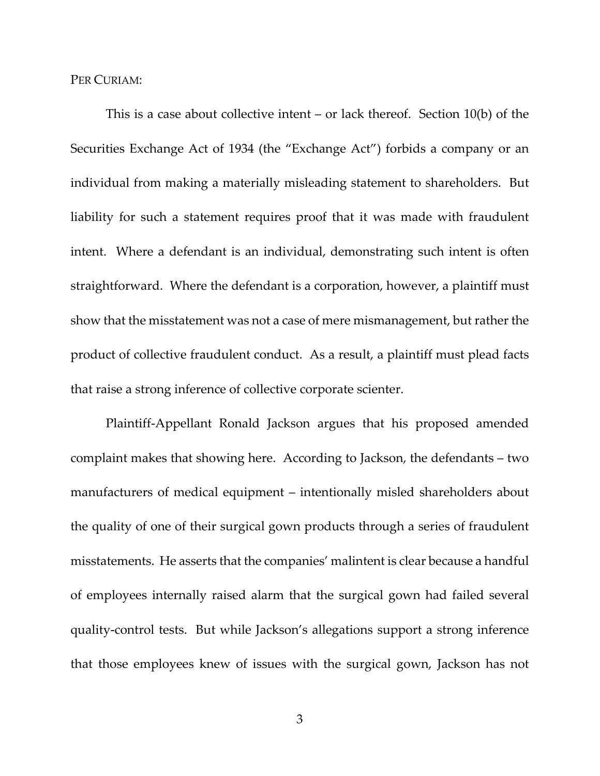PER CURIAM:

This is a case about collective intent  $-$  or lack thereof. Section 10(b) of the Securities Exchange Act of 1934 (the "Exchange Act") forbids a company or an individual from making a materially misleading statement to shareholders. But liability for such a statement requires proof that it was made with fraudulent intent. Where a defendant is an individual, demonstrating such intent is often straightforward. Where the defendant is a corporation, however, a plaintiff must show that the misstatement was not a case of mere mismanagement, but rather the product of collective fraudulent conduct. As a result, a plaintiff must plead facts that raise a strong inference of collective corporate scienter.

Plaintiff-Appellant Ronald Jackson argues that his proposed amended complaint makes that showing here. According to Jackson, the defendants – two manufacturers of medical equipment – intentionally misled shareholders about the quality of one of their surgical gown products through a series of fraudulent misstatements. He asserts that the companies' malintent is clear because a handful of employees internally raised alarm that the surgical gown had failed several quality-control tests. But while Jackson's allegations support a strong inference that those employees knew of issues with the surgical gown, Jackson has not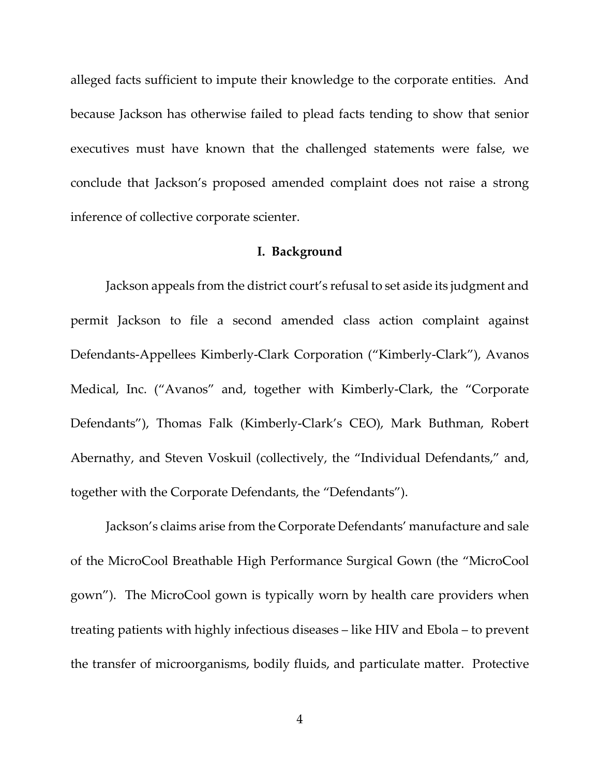alleged facts sufficient to impute their knowledge to the corporate entities. And because Jackson has otherwise failed to plead facts tending to show that senior executives must have known that the challenged statements were false, we conclude that Jackson's proposed amended complaint does not raise a strong inference of collective corporate scienter.

## **I. Background**

Jackson appeals from the district court's refusal to set aside its judgment and permit Jackson to file a second amended class action complaint against Defendants-Appellees Kimberly-Clark Corporation ("Kimberly-Clark"), Avanos Medical, Inc. ("Avanos" and, together with Kimberly-Clark, the "Corporate Defendants"), Thomas Falk (Kimberly-Clark's CEO), Mark Buthman, Robert Abernathy, and Steven Voskuil (collectively, the "Individual Defendants," and, together with the Corporate Defendants, the "Defendants").

Jackson's claims arise from the Corporate Defendants' manufacture and sale of the MicroCool Breathable High Performance Surgical Gown (the "MicroCool gown"). The MicroCool gown is typically worn by health care providers when treating patients with highly infectious diseases – like HIV and Ebola – to prevent the transfer of microorganisms, bodily fluids, and particulate matter. Protective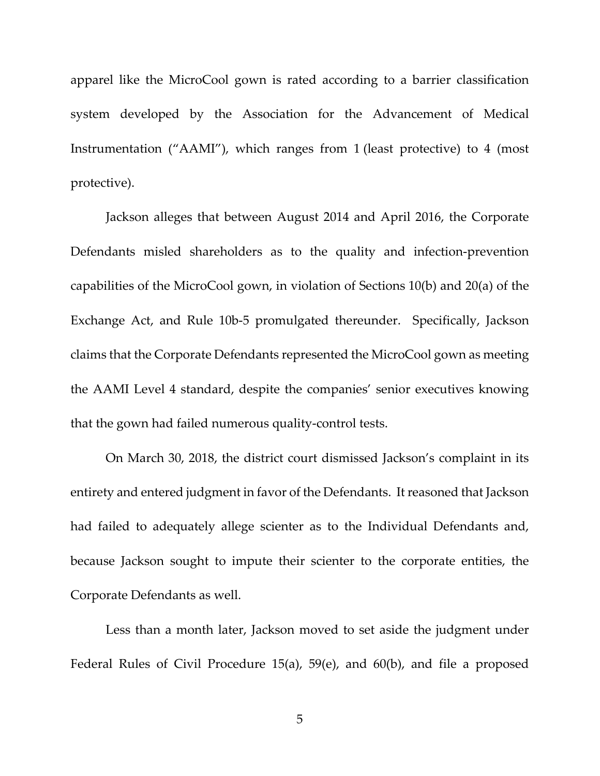apparel like the MicroCool gown is rated according to a barrier classification system developed by the Association for the Advancement of Medical Instrumentation ("AAMI"), which ranges from 1 (least protective) to 4 (most protective).

Jackson alleges that between August 2014 and April 2016, the Corporate Defendants misled shareholders as to the quality and infection-prevention capabilities of the MicroCool gown, in violation of Sections 10(b) and 20(a) of the Exchange Act, and Rule 10b-5 promulgated thereunder. Specifically, Jackson claims that the Corporate Defendants represented the MicroCool gown as meeting the AAMI Level 4 standard, despite the companies' senior executives knowing that the gown had failed numerous quality-control tests.

On March 30, 2018, the district court dismissed Jackson's complaint in its entirety and entered judgment in favor of the Defendants. It reasoned that Jackson had failed to adequately allege scienter as to the Individual Defendants and, because Jackson sought to impute their scienter to the corporate entities, the Corporate Defendants as well.

Less than a month later, Jackson moved to set aside the judgment under Federal Rules of Civil Procedure 15(a), 59(e), and 60(b), and file a proposed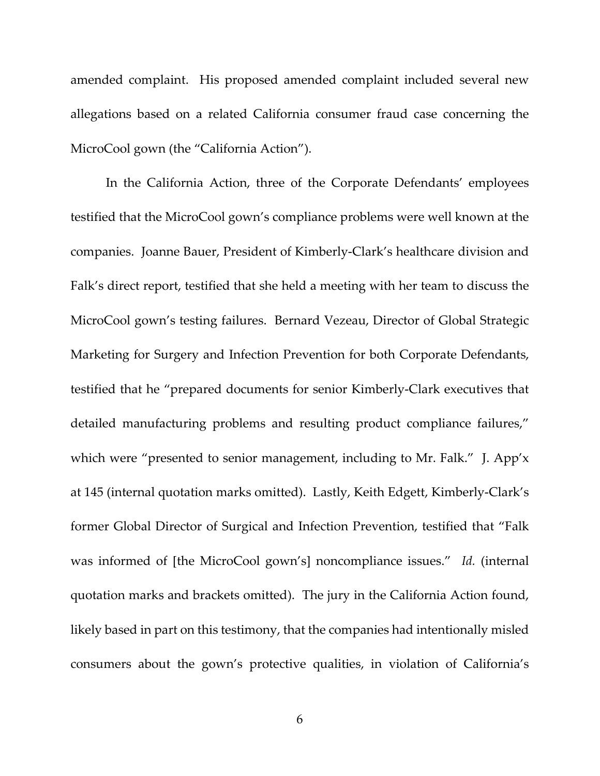amended complaint. His proposed amended complaint included several new allegations based on a related California consumer fraud case concerning the MicroCool gown (the "California Action").

In the California Action, three of the Corporate Defendants' employees testified that the MicroCool gown's compliance problems were well known at the companies. Joanne Bauer, President of Kimberly-Clark's healthcare division and Falk's direct report, testified that she held a meeting with her team to discuss the MicroCool gown's testing failures. Bernard Vezeau, Director of Global Strategic Marketing for Surgery and Infection Prevention for both Corporate Defendants, testified that he "prepared documents for senior Kimberly-Clark executives that detailed manufacturing problems and resulting product compliance failures," which were "presented to senior management, including to Mr. Falk." J. App'x at 145 (internal quotation marks omitted). Lastly, Keith Edgett, Kimberly-Clark's former Global Director of Surgical and Infection Prevention, testified that "Falk was informed of [the MicroCool gown's] noncompliance issues." *Id.* (internal quotation marks and brackets omitted). The jury in the California Action found, likely based in part on this testimony, that the companies had intentionally misled consumers about the gown's protective qualities, in violation of California's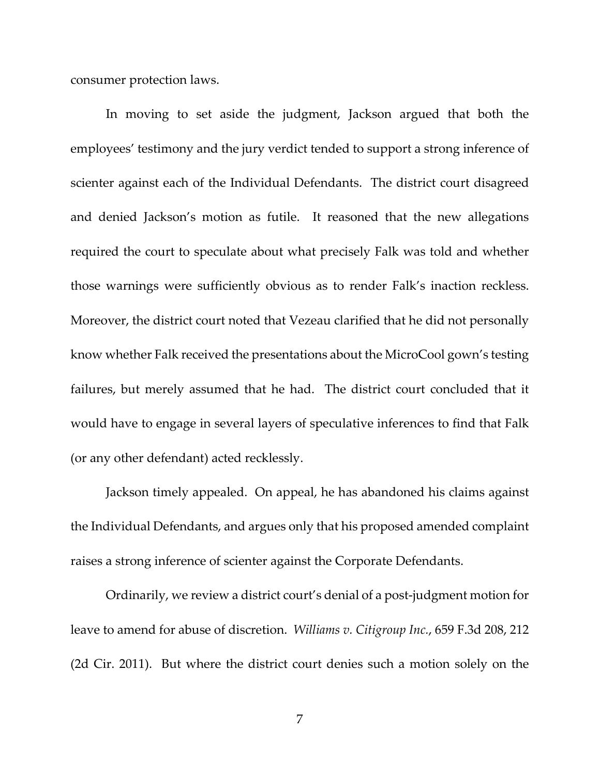consumer protection laws.

In moving to set aside the judgment, Jackson argued that both the employees' testimony and the jury verdict tended to support a strong inference of scienter against each of the Individual Defendants. The district court disagreed and denied Jackson's motion as futile. It reasoned that the new allegations required the court to speculate about what precisely Falk was told and whether those warnings were sufficiently obvious as to render Falk's inaction reckless. Moreover, the district court noted that Vezeau clarified that he did not personally know whether Falk received the presentations about the MicroCool gown's testing failures, but merely assumed that he had. The district court concluded that it would have to engage in several layers of speculative inferences to find that Falk (or any other defendant) acted recklessly.

Jackson timely appealed. On appeal, he has abandoned his claims against the Individual Defendants, and argues only that his proposed amended complaint raises a strong inference of scienter against the Corporate Defendants.

Ordinarily, we review a district court's denial of a post-judgment motion for leave to amend for abuse of discretion. *Williams v. Citigroup Inc.*, 659 F.3d 208, 212 (2d Cir. 2011). But where the district court denies such a motion solely on the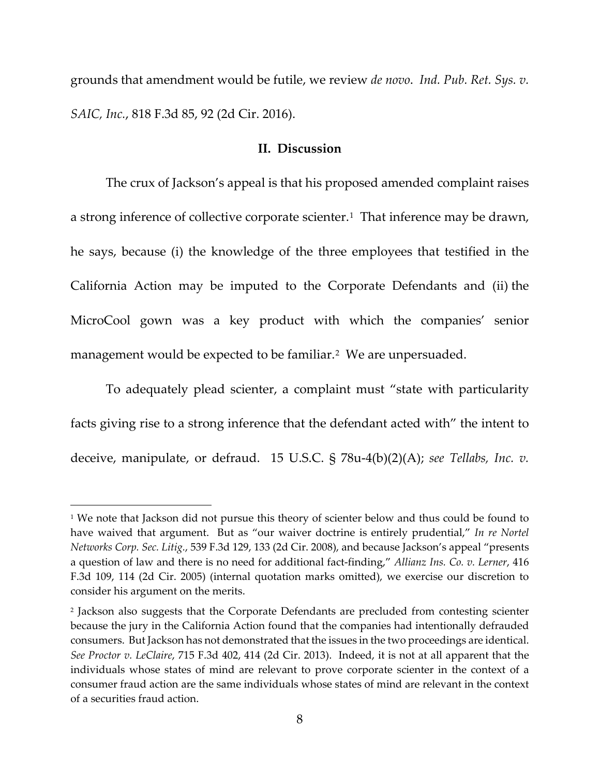grounds that amendment would be futile, we review *de novo*. *Ind. Pub. Ret. Sys. v. SAIC, Inc.*, 818 F.3d 85, 92 (2d Cir. 2016).

## **II. Discussion**

The crux of Jackson's appeal is that his proposed amended complaint raises a strong inference of collective corporate scienter.<sup>1</sup> That inference may be drawn, he says, because (i) the knowledge of the three employees that testified in the California Action may be imputed to the Corporate Defendants and (ii) the MicroCool gown was a key product with which the companies' senior management would be expected to be familiar.<sup>[2](#page-7-1)</sup> We are unpersuaded.

To adequately plead scienter, a complaint must "state with particularity facts giving rise to a strong inference that the defendant acted with" the intent to deceive, manipulate, or defraud. 15 U.S.C. § 78u-4(b)(2)(A); *see Tellabs, Inc. v.* 

<span id="page-7-0"></span><sup>&</sup>lt;sup>1</sup> We note that Jackson did not pursue this theory of scienter below and thus could be found to have waived that argument. But as "our waiver doctrine is entirely prudential," *In re Nortel Networks Corp. Sec. Litig.*, 539 F.3d 129, 133 (2d Cir. 2008), and because Jackson's appeal "presents a question of law and there is no need for additional fact-finding," *Allianz Ins. Co. v. Lerner*, 416 F.3d 109, 114 (2d Cir. 2005) (internal quotation marks omitted), we exercise our discretion to consider his argument on the merits.

<span id="page-7-1"></span><sup>2</sup> Jackson also suggests that the Corporate Defendants are precluded from contesting scienter because the jury in the California Action found that the companies had intentionally defrauded consumers. But Jackson has not demonstrated that the issues in the two proceedings are identical. *See Proctor v. LeClaire*, 715 F.3d 402, 414 (2d Cir. 2013). Indeed, it is not at all apparent that the individuals whose states of mind are relevant to prove corporate scienter in the context of a consumer fraud action are the same individuals whose states of mind are relevant in the context of a securities fraud action.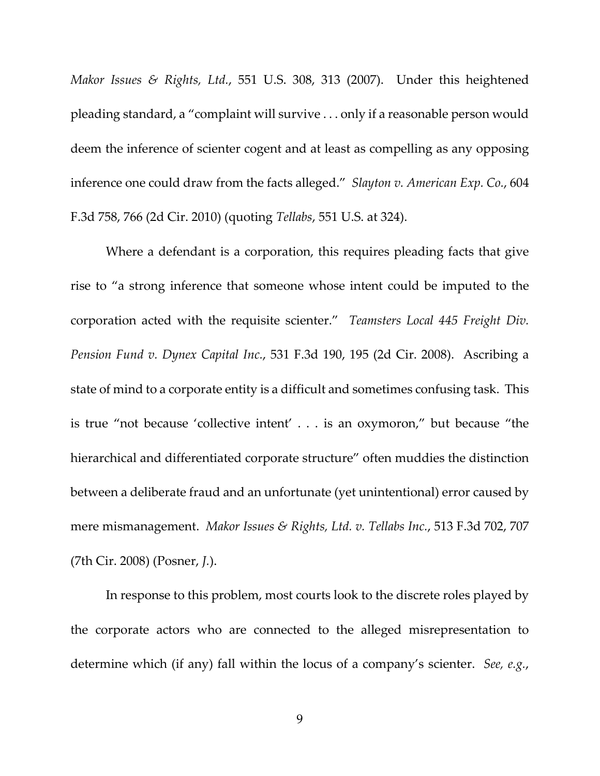*Makor Issues & Rights, Ltd.*, 551 U.S. 308, 313 (2007). Under this heightened pleading standard, a "complaint will survive . . . only if a reasonable person would deem the inference of scienter cogent and at least as compelling as any opposing inference one could draw from the facts alleged." *Slayton v. American Exp. Co.*, 604 F.3d 758, 766 (2d Cir. 2010) (quoting *Tellabs*, 551 U.S. at 324).

Where a defendant is a corporation, this requires pleading facts that give rise to "a strong inference that someone whose intent could be imputed to the corporation acted with the requisite scienter." *Teamsters Local 445 Freight Div. Pension Fund v. Dynex Capital Inc.*, 531 F.3d 190, 195 (2d Cir. 2008). Ascribing a state of mind to a corporate entity is a difficult and sometimes confusing task. This is true "not because 'collective intent' . . . is an oxymoron," but because "the hierarchical and differentiated corporate structure" often muddies the distinction between a deliberate fraud and an unfortunate (yet unintentional) error caused by mere mismanagement. *Makor Issues & Rights, Ltd. v. Tellabs Inc.*, 513 F.3d 702, 707 (7th Cir. 2008) (Posner, *J.*).

In response to this problem, most courts look to the discrete roles played by the corporate actors who are connected to the alleged misrepresentation to determine which (if any) fall within the locus of a company's scienter. *See, e.g.*,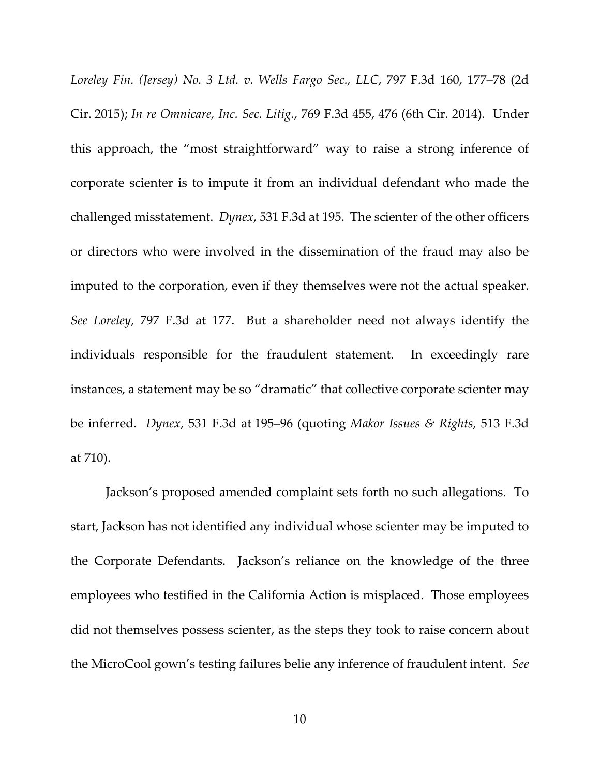*Loreley Fin. (Jersey) No. 3 Ltd. v. Wells Fargo Sec., LLC*, 797 F.3d 160, 177–78 (2d Cir. 2015); *In re Omnicare, Inc. Sec. Litig.*, 769 F.3d 455, 476 (6th Cir. 2014). Under this approach, the "most straightforward" way to raise a strong inference of corporate scienter is to impute it from an individual defendant who made the challenged misstatement. *Dynex*, 531 F.3d at 195. The scienter of the other officers or directors who were involved in the dissemination of the fraud may also be imputed to the corporation, even if they themselves were not the actual speaker. *See Loreley*, 797 F.3d at 177. But a shareholder need not always identify the individuals responsible for the fraudulent statement. In exceedingly rare instances, a statement may be so "dramatic" that collective corporate scienter may be inferred. *Dynex*, 531 F.3d at 195–96 (quoting *Makor Issues & Rights*, 513 F.3d at 710).

Jackson's proposed amended complaint sets forth no such allegations. To start, Jackson has not identified any individual whose scienter may be imputed to the Corporate Defendants. Jackson's reliance on the knowledge of the three employees who testified in the California Action is misplaced. Those employees did not themselves possess scienter, as the steps they took to raise concern about the MicroCool gown's testing failures belie any inference of fraudulent intent. *See*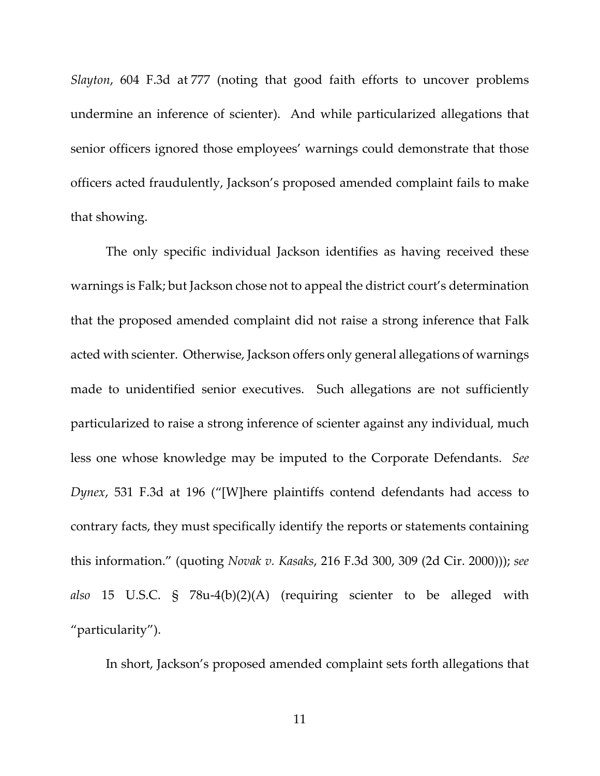*Slayton*, 604 F.3d at 777 (noting that good faith efforts to uncover problems undermine an inference of scienter). And while particularized allegations that senior officers ignored those employees' warnings could demonstrate that those officers acted fraudulently, Jackson's proposed amended complaint fails to make that showing.

The only specific individual Jackson identifies as having received these warnings is Falk; but Jackson chose not to appeal the district court's determination that the proposed amended complaint did not raise a strong inference that Falk acted with scienter. Otherwise, Jackson offers only general allegations of warnings made to unidentified senior executives. Such allegations are not sufficiently particularized to raise a strong inference of scienter against any individual, much less one whose knowledge may be imputed to the Corporate Defendants. *See Dynex*, 531 F.3d at 196 ("[W]here plaintiffs contend defendants had access to contrary facts, they must specifically identify the reports or statements containing this information." (quoting *Novak v. Kasaks*, 216 F.3d 300, 309 (2d Cir. 2000))); *see also* 15 U.S.C. § 78u-4(b)(2)(A) (requiring scienter to be alleged with "particularity").

In short, Jackson's proposed amended complaint sets forth allegations that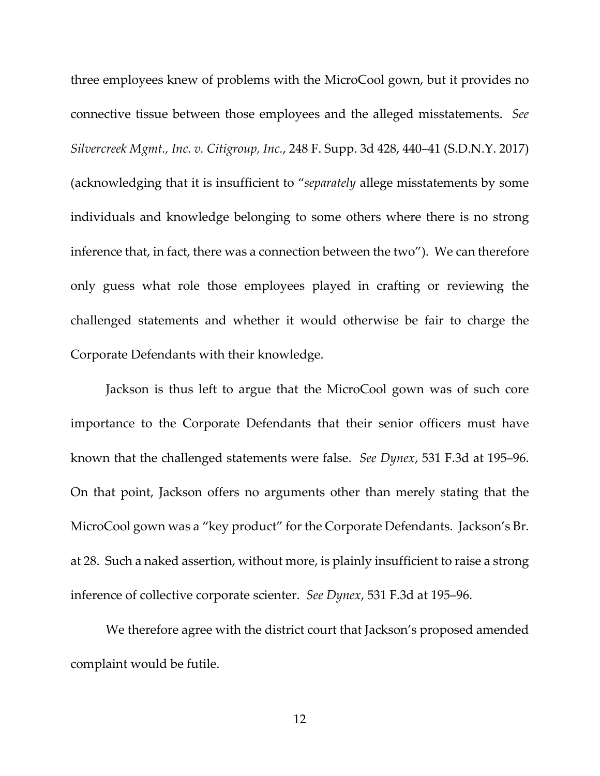three employees knew of problems with the MicroCool gown, but it provides no connective tissue between those employees and the alleged misstatements. *See Silvercreek Mgmt., Inc. v. Citigroup, Inc.*, 248 F. Supp. 3d 428, 440–41 (S.D.N.Y. 2017) (acknowledging that it is insufficient to "*separately* allege misstatements by some individuals and knowledge belonging to some others where there is no strong inference that, in fact, there was a connection between the two"). We can therefore only guess what role those employees played in crafting or reviewing the challenged statements and whether it would otherwise be fair to charge the Corporate Defendants with their knowledge.

Jackson is thus left to argue that the MicroCool gown was of such core importance to the Corporate Defendants that their senior officers must have known that the challenged statements were false. *See Dynex*, 531 F.3d at 195–96. On that point, Jackson offers no arguments other than merely stating that the MicroCool gown was a "key product" for the Corporate Defendants. Jackson's Br. at 28. Such a naked assertion, without more, is plainly insufficient to raise a strong inference of collective corporate scienter. *See Dynex*, 531 F.3d at 195–96.

We therefore agree with the district court that Jackson's proposed amended complaint would be futile.